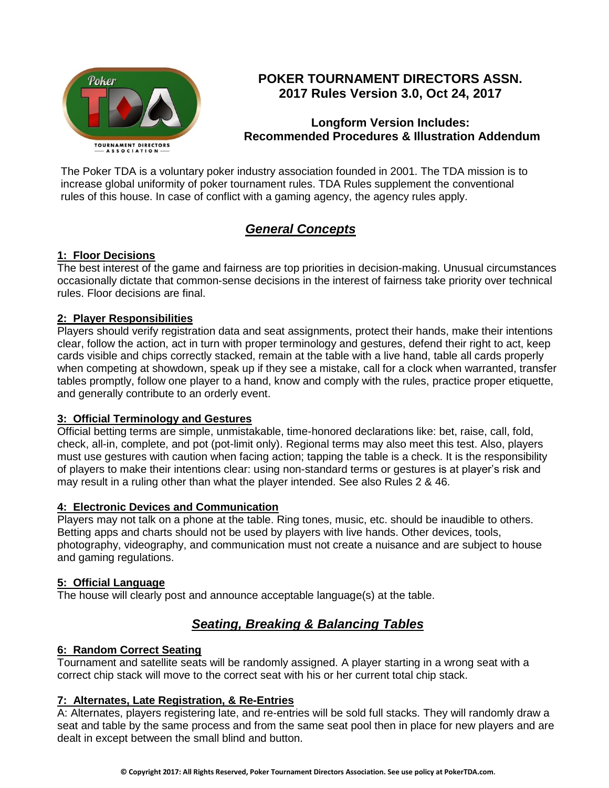

# **POKER TOURNAMENT DIRECTORS ASSN. 2017 Rules Version 3.0, Oct 24, 2017**

# **Longform Version Includes: Recommended Procedures & Illustration Addendum**

The Poker TDA is a voluntary poker industry association founded in 2001. The TDA mission is to increase global uniformity of poker tournament rules. TDA Rules supplement the conventional rules of this house. In case of conflict with a gaming agency, the agency rules apply.

# *General Concepts*

# **1: Floor Decisions**

The best interest of the game and fairness are top priorities in decision-making. Unusual circumstances occasionally dictate that common-sense decisions in the interest of fairness take priority over technical rules. Floor decisions are final.

## **2: Player Responsibilities**

Players should verify registration data and seat assignments, protect their hands, make their intentions clear, follow the action, act in turn with proper terminology and gestures, defend their right to act, keep cards visible and chips correctly stacked, remain at the table with a live hand, table all cards properly when competing at showdown, speak up if they see a mistake, call for a clock when warranted, transfer tables promptly, follow one player to a hand, know and comply with the rules, practice proper etiquette, and generally contribute to an orderly event.

## **3: Official Terminology and Gestures**

Official betting terms are simple, unmistakable, time-honored declarations like: bet, raise, call, fold, check, all-in, complete, and pot (pot-limit only). Regional terms may also meet this test. Also, players must use gestures with caution when facing action; tapping the table is a check. It is the responsibility of players to make their intentions clear: using non-standard terms or gestures is at player's risk and may result in a ruling other than what the player intended. See also Rules 2 & 46.

# **4: Electronic Devices and Communication**

Players may not talk on a phone at the table. Ring tones, music, etc. should be inaudible to others. Betting apps and charts should not be used by players with live hands. Other devices, tools, photography, videography, and communication must not create a nuisance and are subject to house and gaming regulations.

## **5: Official Language**

The house will clearly post and announce acceptable language(s) at the table.

# *Seating, Breaking & Balancing Tables*

## **6: Random Correct Seating**

Tournament and satellite seats will be randomly assigned. A player starting in a wrong seat with a correct chip stack will move to the correct seat with his or her current total chip stack.

# **7: Alternates, Late Registration, & Re-Entries**

A: Alternates, players registering late, and re-entries will be sold full stacks. They will randomly draw a seat and table by the same process and from the same seat pool then in place for new players and are dealt in except between the small blind and button.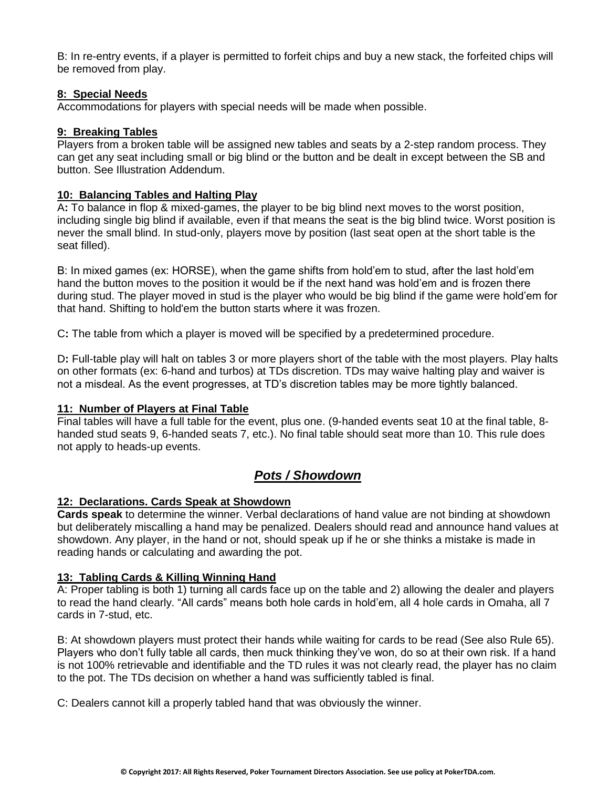B: In re-entry events, if a player is permitted to forfeit chips and buy a new stack, the forfeited chips will be removed from play.

## **8: Special Needs**

Accommodations for players with special needs will be made when possible.

## **9: Breaking Tables**

Players from a broken table will be assigned new tables and seats by a 2-step random process. They can get any seat including small or big blind or the button and be dealt in except between the SB and button. See Illustration Addendum.

## **10: Balancing Tables and Halting Play**

A**:** To balance in flop & mixed-games, the player to be big blind next moves to the worst position, including single big blind if available, even if that means the seat is the big blind twice. Worst position is never the small blind. In stud-only, players move by position (last seat open at the short table is the seat filled).

B: In mixed games (ex: HORSE), when the game shifts from hold'em to stud, after the last hold'em hand the button moves to the position it would be if the next hand was hold'em and is frozen there during stud. The player moved in stud is the player who would be big blind if the game were hold'em for that hand. Shifting to hold'em the button starts where it was frozen.

C**:** The table from which a player is moved will be specified by a predetermined procedure.

D**:** Full-table play will halt on tables 3 or more players short of the table with the most players. Play halts on other formats (ex: 6-hand and turbos) at TDs discretion. TDs may waive halting play and waiver is not a misdeal. As the event progresses, at TD's discretion tables may be more tightly balanced.

## **11: Number of Players at Final Table**

Final tables will have a full table for the event, plus one. (9-handed events seat 10 at the final table, 8 handed stud seats 9, 6-handed seats 7, etc.). No final table should seat more than 10. This rule does not apply to heads-up events.

# *Pots / Showdown*

## **12: Declarations. Cards Speak at Showdown**

**Cards speak** to determine the winner. Verbal declarations of hand value are not binding at showdown but deliberately miscalling a hand may be penalized. Dealers should read and announce hand values at showdown. Any player, in the hand or not, should speak up if he or she thinks a mistake is made in reading hands or calculating and awarding the pot.

## **13: Tabling Cards & Killing Winning Hand**

A: Proper tabling is both 1) turning all cards face up on the table and 2) allowing the dealer and players to read the hand clearly. "All cards" means both hole cards in hold'em, all 4 hole cards in Omaha, all 7 cards in 7-stud, etc.

B: At showdown players must protect their hands while waiting for cards to be read (See also Rule 65). Players who don't fully table all cards, then muck thinking they've won, do so at their own risk. If a hand is not 100% retrievable and identifiable and the TD rules it was not clearly read, the player has no claim to the pot. The TDs decision on whether a hand was sufficiently tabled is final.

C: Dealers cannot kill a properly tabled hand that was obviously the winner.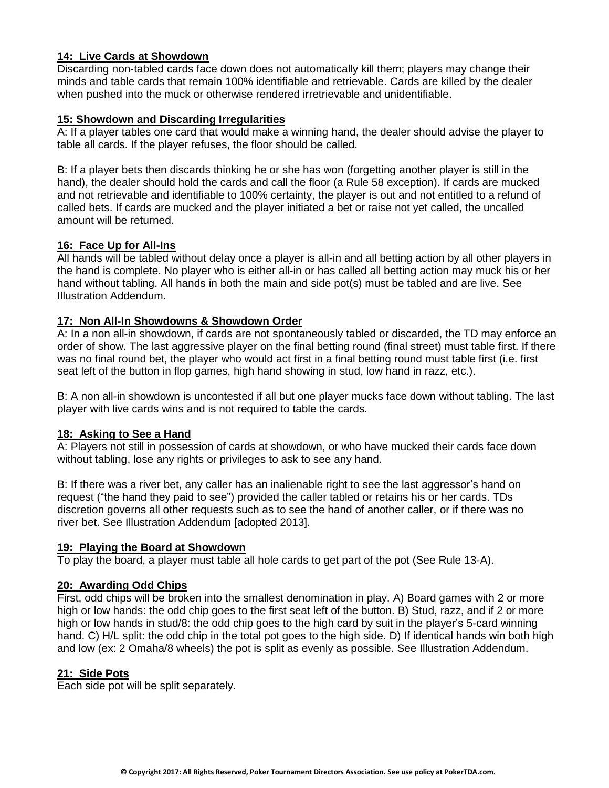## **14: Live Cards at Showdown**

Discarding non-tabled cards face down does not automatically kill them; players may change their minds and table cards that remain 100% identifiable and retrievable. Cards are killed by the dealer when pushed into the muck or otherwise rendered irretrievable and unidentifiable.

#### **15: Showdown and Discarding Irregularities**

A: If a player tables one card that would make a winning hand, the dealer should advise the player to table all cards. If the player refuses, the floor should be called.

B: If a player bets then discards thinking he or she has won (forgetting another player is still in the hand), the dealer should hold the cards and call the floor (a Rule 58 exception). If cards are mucked and not retrievable and identifiable to 100% certainty, the player is out and not entitled to a refund of called bets. If cards are mucked and the player initiated a bet or raise not yet called, the uncalled amount will be returned.

## **16: Face Up for All-Ins**

All hands will be tabled without delay once a player is all-in and all betting action by all other players in the hand is complete. No player who is either all-in or has called all betting action may muck his or her hand without tabling. All hands in both the main and side pot(s) must be tabled and are live. See Illustration Addendum.

## **17: Non All-In Showdowns & Showdown Order**

A: In a non all-in showdown, if cards are not spontaneously tabled or discarded, the TD may enforce an order of show. The last aggressive player on the final betting round (final street) must table first. If there was no final round bet, the player who would act first in a final betting round must table first (i.e. first seat left of the button in flop games, high hand showing in stud, low hand in razz, etc.).

B: A non all-in showdown is uncontested if all but one player mucks face down without tabling. The last player with live cards wins and is not required to table the cards.

## **18: Asking to See a Hand**

A: Players not still in possession of cards at showdown, or who have mucked their cards face down without tabling, lose any rights or privileges to ask to see any hand.

B: If there was a river bet, any caller has an inalienable right to see the last aggressor's hand on request ("the hand they paid to see") provided the caller tabled or retains his or her cards. TDs discretion governs all other requests such as to see the hand of another caller, or if there was no river bet. See Illustration Addendum [adopted 2013].

#### **19: Playing the Board at Showdown**

To play the board, a player must table all hole cards to get part of the pot (See Rule 13-A).

## **20: Awarding Odd Chips**

First, odd chips will be broken into the smallest denomination in play. A) Board games with 2 or more high or low hands: the odd chip goes to the first seat left of the button. B) Stud, razz, and if 2 or more high or low hands in stud/8: the odd chip goes to the high card by suit in the player's 5-card winning hand. C) H/L split: the odd chip in the total pot goes to the high side. D) If identical hands win both high and low (ex: 2 Omaha/8 wheels) the pot is split as evenly as possible. See Illustration Addendum.

#### **21: Side Pots**

Each side pot will be split separately.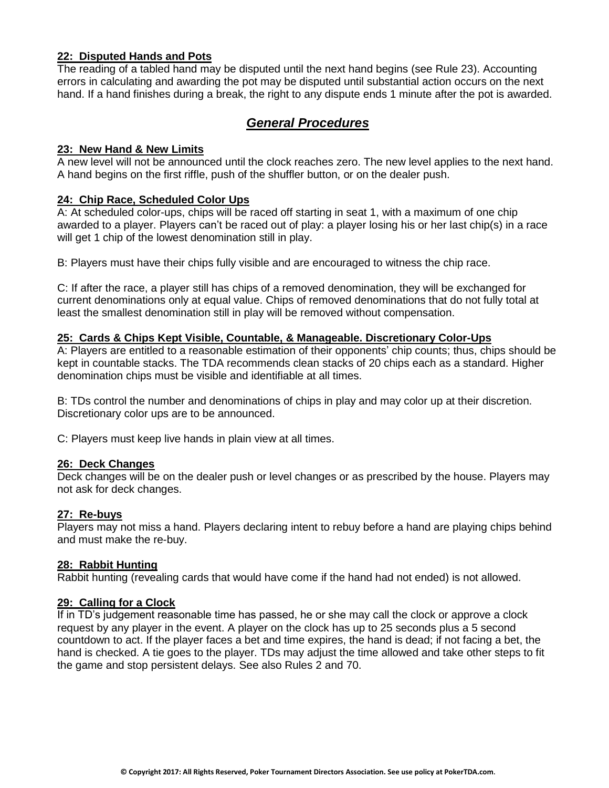## **22: Disputed Hands and Pots**

The reading of a tabled hand may be disputed until the next hand begins (see Rule 23). Accounting errors in calculating and awarding the pot may be disputed until substantial action occurs on the next hand. If a hand finishes during a break, the right to any dispute ends 1 minute after the pot is awarded.

# *General Procedures*

#### **23: New Hand & New Limits**

A new level will not be announced until the clock reaches zero. The new level applies to the next hand. A hand begins on the first riffle, push of the shuffler button, or on the dealer push.

### **24: Chip Race, Scheduled Color Ups**

A: At scheduled color-ups, chips will be raced off starting in seat 1, with a maximum of one chip awarded to a player. Players can't be raced out of play: a player losing his or her last chip(s) in a race will get 1 chip of the lowest denomination still in play.

B: Players must have their chips fully visible and are encouraged to witness the chip race.

C: If after the race, a player still has chips of a removed denomination, they will be exchanged for current denominations only at equal value. Chips of removed denominations that do not fully total at least the smallest denomination still in play will be removed without compensation.

#### **25: Cards & Chips Kept Visible, Countable, & Manageable. Discretionary Color-Ups**

A: Players are entitled to a reasonable estimation of their opponents' chip counts; thus, chips should be kept in countable stacks. The TDA recommends clean stacks of 20 chips each as a standard. Higher denomination chips must be visible and identifiable at all times.

B: TDs control the number and denominations of chips in play and may color up at their discretion. Discretionary color ups are to be announced.

C: Players must keep live hands in plain view at all times.

#### **26: Deck Changes**

Deck changes will be on the dealer push or level changes or as prescribed by the house. Players may not ask for deck changes.

#### **27: Re-buys**

Players may not miss a hand. Players declaring intent to rebuy before a hand are playing chips behind and must make the re-buy.

#### **28: Rabbit Hunting**

Rabbit hunting (revealing cards that would have come if the hand had not ended) is not allowed.

#### **29: Calling for a Clock**

If in TD's judgement reasonable time has passed, he or she may call the clock or approve a clock request by any player in the event. A player on the clock has up to 25 seconds plus a 5 second countdown to act. If the player faces a bet and time expires, the hand is dead; if not facing a bet, the hand is checked. A tie goes to the player. TDs may adjust the time allowed and take other steps to fit the game and stop persistent delays. See also Rules 2 and 70.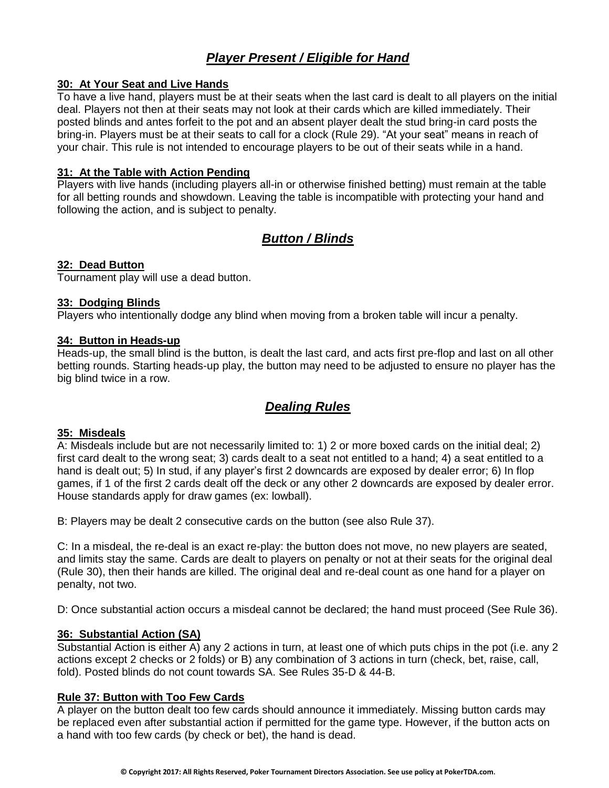# *Player Present / Eligible for Hand*

## **30: At Your Seat and Live Hands**

To have a live hand, players must be at their seats when the last card is dealt to all players on the initial deal. Players not then at their seats may not look at their cards which are killed immediately. Their posted blinds and antes forfeit to the pot and an absent player dealt the stud bring-in card posts the bring-in. Players must be at their seats to call for a clock (Rule 29). "At your seat" means in reach of your chair. This rule is not intended to encourage players to be out of their seats while in a hand.

## **31: At the Table with Action Pending**

Players with live hands (including players all-in or otherwise finished betting) must remain at the table for all betting rounds and showdown. Leaving the table is incompatible with protecting your hand and following the action, and is subject to penalty.

# *Button / Blinds*

## **32: Dead Button**

Tournament play will use a dead button.

## **33: Dodging Blinds**

Players who intentionally dodge any blind when moving from a broken table will incur a penalty.

#### **34: Button in Heads-up**

Heads-up, the small blind is the button, is dealt the last card, and acts first pre-flop and last on all other betting rounds. Starting heads-up play, the button may need to be adjusted to ensure no player has the big blind twice in a row.

# *Dealing Rules*

#### **35: Misdeals**

A: Misdeals include but are not necessarily limited to: 1) 2 or more boxed cards on the initial deal; 2) first card dealt to the wrong seat; 3) cards dealt to a seat not entitled to a hand; 4) a seat entitled to a hand is dealt out; 5) In stud, if any player's first 2 downcards are exposed by dealer error; 6) In flop games, if 1 of the first 2 cards dealt off the deck or any other 2 downcards are exposed by dealer error. House standards apply for draw games (ex: lowball).

B: Players may be dealt 2 consecutive cards on the button (see also Rule 37).

C: In a misdeal, the re-deal is an exact re-play: the button does not move, no new players are seated, and limits stay the same. Cards are dealt to players on penalty or not at their seats for the original deal (Rule 30), then their hands are killed. The original deal and re-deal count as one hand for a player on penalty, not two.

D: Once substantial action occurs a misdeal cannot be declared; the hand must proceed (See Rule 36).

## **36: Substantial Action (SA)**

Substantial Action is either A) any 2 actions in turn, at least one of which puts chips in the pot (i.e. any 2 actions except 2 checks or 2 folds) or B) any combination of 3 actions in turn (check, bet, raise, call, fold). Posted blinds do not count towards SA. See Rules 35-D & 44-B.

## **Rule 37: Button with Too Few Cards**

A player on the button dealt too few cards should announce it immediately. Missing button cards may be replaced even after substantial action if permitted for the game type. However, if the button acts on a hand with too few cards (by check or bet), the hand is dead.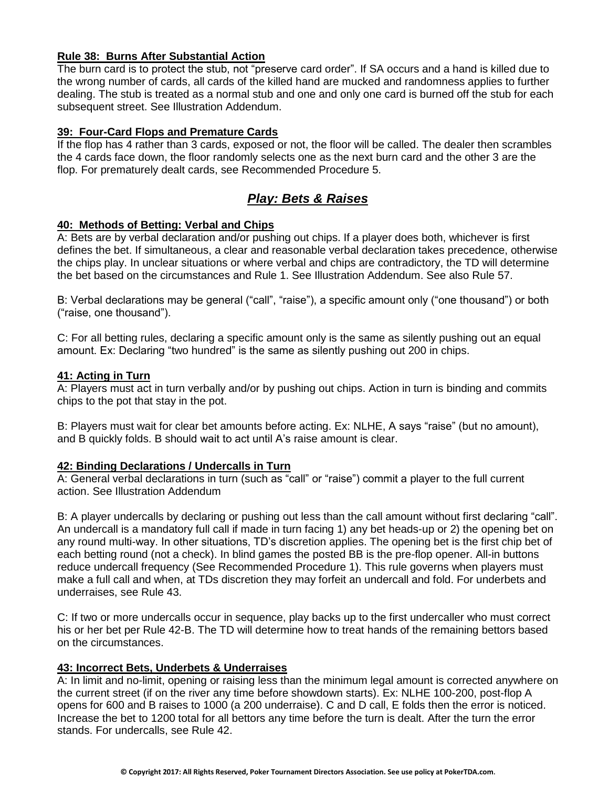## **Rule 38: Burns After Substantial Action**

The burn card is to protect the stub, not "preserve card order". If SA occurs and a hand is killed due to the wrong number of cards, all cards of the killed hand are mucked and randomness applies to further dealing. The stub is treated as a normal stub and one and only one card is burned off the stub for each subsequent street. See Illustration Addendum.

#### **39: Four-Card Flops and Premature Cards**

If the flop has 4 rather than 3 cards, exposed or not, the floor will be called. The dealer then scrambles the 4 cards face down, the floor randomly selects one as the next burn card and the other 3 are the flop. For prematurely dealt cards, see Recommended Procedure 5.

# *Play: Bets & Raises*

## **40: Methods of Betting: Verbal and Chips**

A: Bets are by verbal declaration and/or pushing out chips. If a player does both, whichever is first defines the bet. If simultaneous, a clear and reasonable verbal declaration takes precedence, otherwise the chips play. In unclear situations or where verbal and chips are contradictory, the TD will determine the bet based on the circumstances and Rule 1. See Illustration Addendum. See also Rule 57.

B: Verbal declarations may be general ("call", "raise"), a specific amount only ("one thousand") or both ("raise, one thousand").

C: For all betting rules, declaring a specific amount only is the same as silently pushing out an equal amount. Ex: Declaring "two hundred" is the same as silently pushing out 200 in chips.

## **41: Acting in Turn**

A: Players must act in turn verbally and/or by pushing out chips. Action in turn is binding and commits chips to the pot that stay in the pot.

B: Players must wait for clear bet amounts before acting. Ex: NLHE, A says "raise" (but no amount), and B quickly folds. B should wait to act until A's raise amount is clear.

#### **42: Binding Declarations / Undercalls in Turn**

A: General verbal declarations in turn (such as "call" or "raise") commit a player to the full current action. See Illustration Addendum

B: A player undercalls by declaring or pushing out less than the call amount without first declaring "call". An undercall is a mandatory full call if made in turn facing 1) any bet heads-up or 2) the opening bet on any round multi-way. In other situations, TD's discretion applies. The opening bet is the first chip bet of each betting round (not a check). In blind games the posted BB is the pre-flop opener. All-in buttons reduce undercall frequency (See Recommended Procedure 1). This rule governs when players must make a full call and when, at TDs discretion they may forfeit an undercall and fold. For underbets and underraises, see Rule 43.

C: If two or more undercalls occur in sequence, play backs up to the first undercaller who must correct his or her bet per Rule 42-B. The TD will determine how to treat hands of the remaining bettors based on the circumstances.

## **43: Incorrect Bets, Underbets & Underraises**

A: In limit and no-limit, opening or raising less than the minimum legal amount is corrected anywhere on the current street (if on the river any time before showdown starts). Ex: NLHE 100-200, post-flop A opens for 600 and B raises to 1000 (a 200 underraise). C and D call, E folds then the error is noticed. Increase the bet to 1200 total for all bettors any time before the turn is dealt. After the turn the error stands. For undercalls, see Rule 42.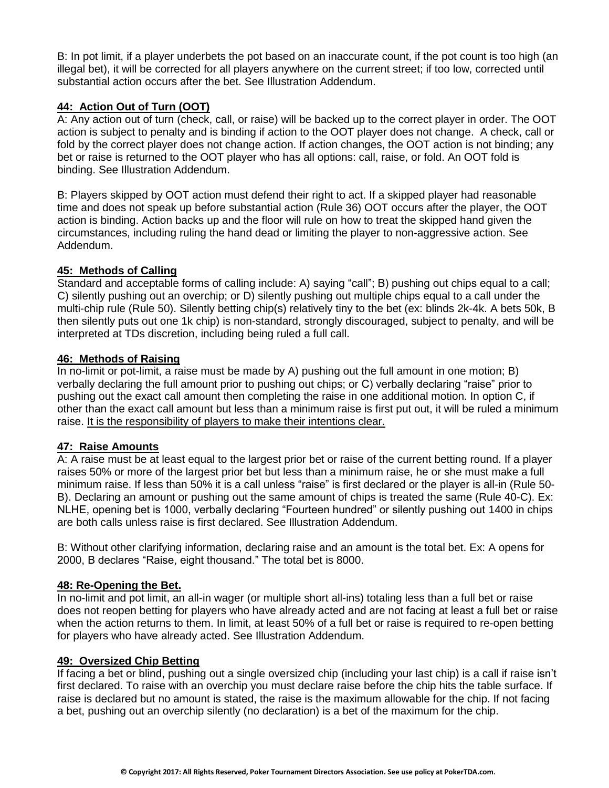B: In pot limit, if a player underbets the pot based on an inaccurate count, if the pot count is too high (an illegal bet), it will be corrected for all players anywhere on the current street; if too low, corrected until substantial action occurs after the bet. See Illustration Addendum.

## **44: Action Out of Turn (OOT)**

A: Any action out of turn (check, call, or raise) will be backed up to the correct player in order. The OOT action is subject to penalty and is binding if action to the OOT player does not change. A check, call or fold by the correct player does not change action. If action changes, the OOT action is not binding; any bet or raise is returned to the OOT player who has all options: call, raise, or fold. An OOT fold is binding. See Illustration Addendum.

B: Players skipped by OOT action must defend their right to act. If a skipped player had reasonable time and does not speak up before substantial action (Rule 36) OOT occurs after the player, the OOT action is binding. Action backs up and the floor will rule on how to treat the skipped hand given the circumstances, including ruling the hand dead or limiting the player to non-aggressive action. See Addendum.

## **45: Methods of Calling**

Standard and acceptable forms of calling include: A) saying "call"; B) pushing out chips equal to a call; C) silently pushing out an overchip; or D) silently pushing out multiple chips equal to a call under the multi-chip rule (Rule 50). Silently betting chip(s) relatively tiny to the bet (ex: blinds 2k-4k. A bets 50k, B then silently puts out one 1k chip) is non-standard, strongly discouraged, subject to penalty, and will be interpreted at TDs discretion, including being ruled a full call.

## **46: Methods of Raising**

In no-limit or pot-limit, a raise must be made by A) pushing out the full amount in one motion; B) verbally declaring the full amount prior to pushing out chips; or C) verbally declaring "raise" prior to pushing out the exact call amount then completing the raise in one additional motion. In option C, if other than the exact call amount but less than a minimum raise is first put out, it will be ruled a minimum raise. It is the responsibility of players to make their intentions clear.

# **47: Raise Amounts**

A: A raise must be at least equal to the largest prior bet or raise of the current betting round. If a player raises 50% or more of the largest prior bet but less than a minimum raise, he or she must make a full minimum raise. If less than 50% it is a call unless "raise" is first declared or the player is all-in (Rule 50- B). Declaring an amount or pushing out the same amount of chips is treated the same (Rule 40-C). Ex: NLHE, opening bet is 1000, verbally declaring "Fourteen hundred" or silently pushing out 1400 in chips are both calls unless raise is first declared. See Illustration Addendum.

B: Without other clarifying information, declaring raise and an amount is the total bet. Ex: A opens for 2000, B declares "Raise, eight thousand." The total bet is 8000.

## **48: Re-Opening the Bet.**

In no-limit and pot limit, an all-in wager (or multiple short all-ins) totaling less than a full bet or raise does not reopen betting for players who have already acted and are not facing at least a full bet or raise when the action returns to them. In limit, at least 50% of a full bet or raise is required to re-open betting for players who have already acted. See Illustration Addendum.

## **49: Oversized Chip Betting**

If facing a bet or blind, pushing out a single oversized chip (including your last chip) is a call if raise isn't first declared. To raise with an overchip you must declare raise before the chip hits the table surface. If raise is declared but no amount is stated, the raise is the maximum allowable for the chip. If not facing a bet, pushing out an overchip silently (no declaration) is a bet of the maximum for the chip.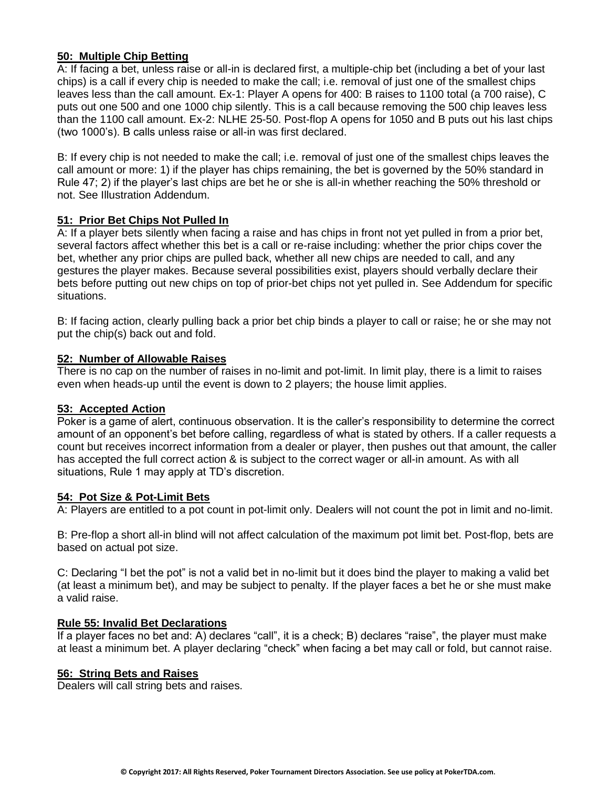## **50: Multiple Chip Betting**

A: If facing a bet, unless raise or all-in is declared first, a multiple-chip bet (including a bet of your last chips) is a call if every chip is needed to make the call; i.e. removal of just one of the smallest chips leaves less than the call amount. Ex-1: Player A opens for 400: B raises to 1100 total (a 700 raise), C puts out one 500 and one 1000 chip silently. This is a call because removing the 500 chip leaves less than the 1100 call amount. Ex-2: NLHE 25-50. Post-flop A opens for 1050 and B puts out his last chips (two 1000's). B calls unless raise or all-in was first declared.

B: If every chip is not needed to make the call; i.e. removal of just one of the smallest chips leaves the call amount or more: 1) if the player has chips remaining, the bet is governed by the 50% standard in Rule 47; 2) if the player's last chips are bet he or she is all-in whether reaching the 50% threshold or not. See Illustration Addendum.

#### **51: Prior Bet Chips Not Pulled In**

A: If a player bets silently when facing a raise and has chips in front not yet pulled in from a prior bet, several factors affect whether this bet is a call or re-raise including: whether the prior chips cover the bet, whether any prior chips are pulled back, whether all new chips are needed to call, and any gestures the player makes. Because several possibilities exist, players should verbally declare their bets before putting out new chips on top of prior-bet chips not yet pulled in. See Addendum for specific situations.

B: If facing action, clearly pulling back a prior bet chip binds a player to call or raise; he or she may not put the chip(s) back out and fold.

#### **52: Number of Allowable Raises**

There is no cap on the number of raises in no-limit and pot-limit. In limit play, there is a limit to raises even when heads-up until the event is down to 2 players; the house limit applies.

#### **53: Accepted Action**

Poker is a game of alert, continuous observation. It is the caller's responsibility to determine the correct amount of an opponent's bet before calling, regardless of what is stated by others. If a caller requests a count but receives incorrect information from a dealer or player, then pushes out that amount, the caller has accepted the full correct action & is subject to the correct wager or all-in amount. As with all situations, Rule 1 may apply at TD's discretion.

#### **54: Pot Size & Pot-Limit Bets**

A: Players are entitled to a pot count in pot-limit only. Dealers will not count the pot in limit and no-limit.

B: Pre-flop a short all-in blind will not affect calculation of the maximum pot limit bet. Post-flop, bets are based on actual pot size.

C: Declaring "I bet the pot" is not a valid bet in no-limit but it does bind the player to making a valid bet (at least a minimum bet), and may be subject to penalty. If the player faces a bet he or she must make a valid raise.

#### **Rule 55: Invalid Bet Declarations**

If a player faces no bet and: A) declares "call", it is a check; B) declares "raise", the player must make at least a minimum bet. A player declaring "check" when facing a bet may call or fold, but cannot raise.

#### **56: String Bets and Raises**

Dealers will call string bets and raises.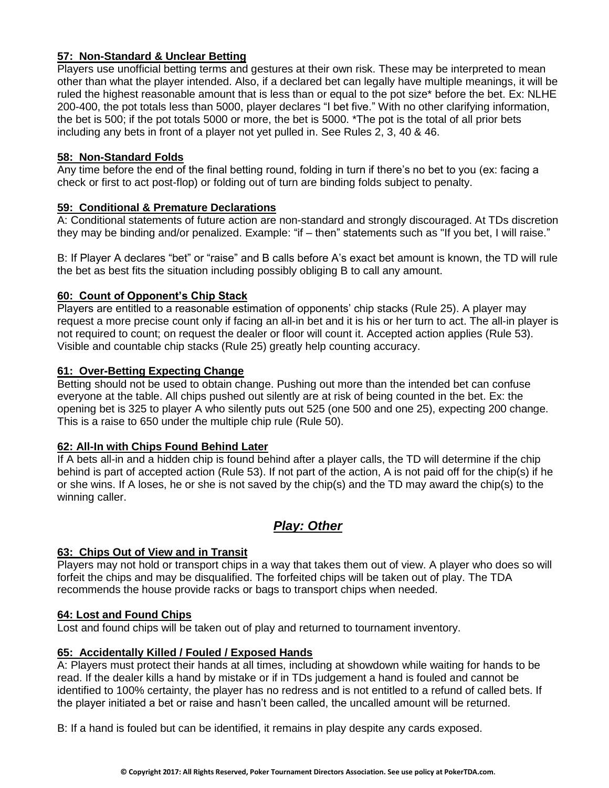## **57: Non-Standard & Unclear Betting**

Players use unofficial betting terms and gestures at their own risk. These may be interpreted to mean other than what the player intended. Also, if a declared bet can legally have multiple meanings, it will be ruled the highest reasonable amount that is less than or equal to the pot size\* before the bet. Ex: NLHE 200-400, the pot totals less than 5000, player declares "I bet five." With no other clarifying information, the bet is 500; if the pot totals 5000 or more, the bet is 5000. \*The pot is the total of all prior bets including any bets in front of a player not yet pulled in. See Rules 2, 3, 40 & 46.

## **58: Non-Standard Folds**

Any time before the end of the final betting round, folding in turn if there's no bet to you (ex: facing a check or first to act post-flop) or folding out of turn are binding folds subject to penalty.

## **59: Conditional & Premature Declarations**

A: Conditional statements of future action are non-standard and strongly discouraged. At TDs discretion they may be binding and/or penalized. Example: "if – then" statements such as "If you bet, I will raise."

B: If Player A declares "bet" or "raise" and B calls before A's exact bet amount is known, the TD will rule the bet as best fits the situation including possibly obliging B to call any amount.

## **60: Count of Opponent's Chip Stack**

Players are entitled to a reasonable estimation of opponents' chip stacks (Rule 25). A player may request a more precise count only if facing an all-in bet and it is his or her turn to act. The all-in player is not required to count; on request the dealer or floor will count it. Accepted action applies (Rule 53). Visible and countable chip stacks (Rule 25) greatly help counting accuracy.

## **61: Over-Betting Expecting Change**

Betting should not be used to obtain change. Pushing out more than the intended bet can confuse everyone at the table. All chips pushed out silently are at risk of being counted in the bet. Ex: the opening bet is 325 to player A who silently puts out 525 (one 500 and one 25), expecting 200 change. This is a raise to 650 under the multiple chip rule (Rule 50).

## **62: All-In with Chips Found Behind Later**

If A bets all-in and a hidden chip is found behind after a player calls, the TD will determine if the chip behind is part of accepted action (Rule 53). If not part of the action, A is not paid off for the chip(s) if he or she wins. If A loses, he or she is not saved by the chip(s) and the TD may award the chip(s) to the winning caller.

# *Play: Other*

## **63: Chips Out of View and in Transit**

Players may not hold or transport chips in a way that takes them out of view. A player who does so will forfeit the chips and may be disqualified. The forfeited chips will be taken out of play. The TDA recommends the house provide racks or bags to transport chips when needed.

#### **64: Lost and Found Chips**

Lost and found chips will be taken out of play and returned to tournament inventory.

## **65: Accidentally Killed / Fouled / Exposed Hands**

A: Players must protect their hands at all times, including at showdown while waiting for hands to be read. If the dealer kills a hand by mistake or if in TDs judgement a hand is fouled and cannot be identified to 100% certainty, the player has no redress and is not entitled to a refund of called bets. If the player initiated a bet or raise and hasn't been called, the uncalled amount will be returned.

B: If a hand is fouled but can be identified, it remains in play despite any cards exposed.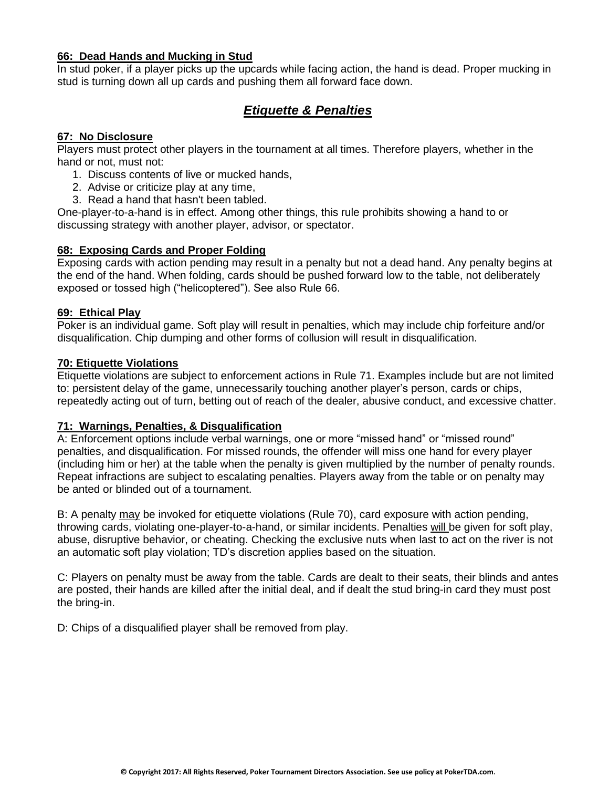### **66: Dead Hands and Mucking in Stud**

In stud poker, if a player picks up the upcards while facing action, the hand is dead. Proper mucking in stud is turning down all up cards and pushing them all forward face down.

# *Etiquette & Penalties*

## **67: No Disclosure**

Players must protect other players in the tournament at all times. Therefore players, whether in the hand or not, must not:

- 1. Discuss contents of live or mucked hands,
- 2. Advise or criticize play at any time,
- 3. Read a hand that hasn't been tabled.

One-player-to-a-hand is in effect. Among other things, this rule prohibits showing a hand to or discussing strategy with another player, advisor, or spectator.

## **68: Exposing Cards and Proper Folding**

Exposing cards with action pending may result in a penalty but not a dead hand. Any penalty begins at the end of the hand. When folding, cards should be pushed forward low to the table, not deliberately exposed or tossed high ("helicoptered"). See also Rule 66.

#### **69: Ethical Play**

Poker is an individual game. Soft play will result in penalties, which may include chip forfeiture and/or disqualification. Chip dumping and other forms of collusion will result in disqualification.

#### **70: Etiquette Violations**

Etiquette violations are subject to enforcement actions in Rule 71. Examples include but are not limited to: persistent delay of the game, unnecessarily touching another player's person, cards or chips, repeatedly acting out of turn, betting out of reach of the dealer, abusive conduct, and excessive chatter.

#### **71: Warnings, Penalties, & Disqualification**

A: Enforcement options include verbal warnings, one or more "missed hand" or "missed round" penalties, and disqualification. For missed rounds, the offender will miss one hand for every player (including him or her) at the table when the penalty is given multiplied by the number of penalty rounds. Repeat infractions are subject to escalating penalties. Players away from the table or on penalty may be anted or blinded out of a tournament.

B: A penalty may be invoked for etiquette violations (Rule 70), card exposure with action pending, throwing cards, violating one-player-to-a-hand, or similar incidents. Penalties will be given for soft play, abuse, disruptive behavior, or cheating. Checking the exclusive nuts when last to act on the river is not an automatic soft play violation; TD's discretion applies based on the situation.

C: Players on penalty must be away from the table. Cards are dealt to their seats, their blinds and antes are posted, their hands are killed after the initial deal, and if dealt the stud bring-in card they must post the bring-in.

D: Chips of a disqualified player shall be removed from play.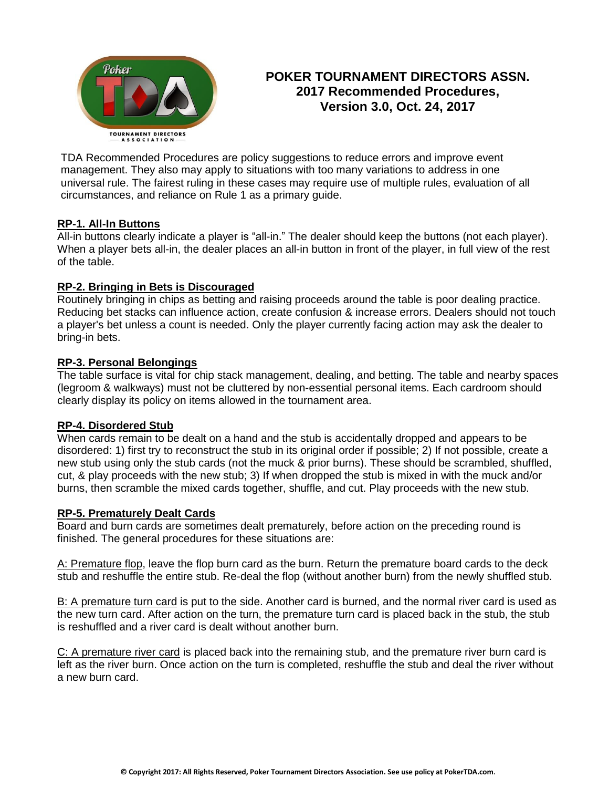

# **POKER TOURNAMENT DIRECTORS ASSN. 2017 Recommended Procedures, Version 3.0, Oct. 24, 2017**

TDA Recommended Procedures are policy suggestions to reduce errors and improve event management. They also may apply to situations with too many variations to address in one universal rule. The fairest ruling in these cases may require use of multiple rules, evaluation of all circumstances, and reliance on Rule 1 as a primary guide.

## **RP-1. All-In Buttons**

All-in buttons clearly indicate a player is "all-in." The dealer should keep the buttons (not each player). When a player bets all-in, the dealer places an all-in button in front of the player, in full view of the rest of the table.

## **RP-2. Bringing in Bets is Discouraged**

Routinely bringing in chips as betting and raising proceeds around the table is poor dealing practice. Reducing bet stacks can influence action, create confusion & increase errors. Dealers should not touch a player's bet unless a count is needed. Only the player currently facing action may ask the dealer to bring-in bets.

## **RP-3. Personal Belongings**

The table surface is vital for chip stack management, dealing, and betting. The table and nearby spaces (legroom & walkways) must not be cluttered by non-essential personal items. Each cardroom should clearly display its policy on items allowed in the tournament area.

#### **RP-4. Disordered Stub**

When cards remain to be dealt on a hand and the stub is accidentally dropped and appears to be disordered: 1) first try to reconstruct the stub in its original order if possible; 2) If not possible, create a new stub using only the stub cards (not the muck & prior burns). These should be scrambled, shuffled, cut, & play proceeds with the new stub; 3) If when dropped the stub is mixed in with the muck and/or burns, then scramble the mixed cards together, shuffle, and cut. Play proceeds with the new stub.

#### **RP-5. Prematurely Dealt Cards**

Board and burn cards are sometimes dealt prematurely, before action on the preceding round is finished. The general procedures for these situations are:

A: Premature flop, leave the flop burn card as the burn. Return the premature board cards to the deck stub and reshuffle the entire stub. Re-deal the flop (without another burn) from the newly shuffled stub.

B: A premature turn card is put to the side. Another card is burned, and the normal river card is used as the new turn card. After action on the turn, the premature turn card is placed back in the stub, the stub is reshuffled and a river card is dealt without another burn.

C: A premature river card is placed back into the remaining stub, and the premature river burn card is left as the river burn. Once action on the turn is completed, reshuffle the stub and deal the river without a new burn card.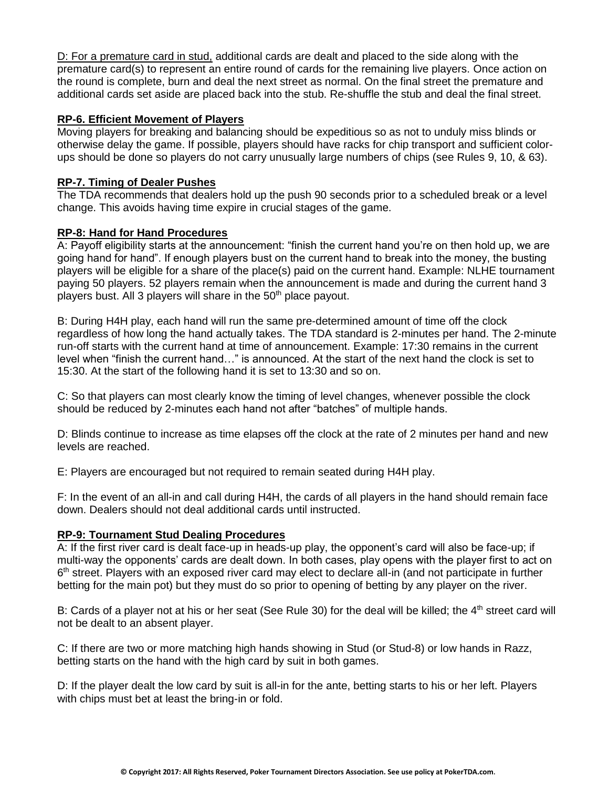D: For a premature card in stud, additional cards are dealt and placed to the side along with the premature card(s) to represent an entire round of cards for the remaining live players. Once action on the round is complete, burn and deal the next street as normal. On the final street the premature and additional cards set aside are placed back into the stub. Re-shuffle the stub and deal the final street.

#### **RP-6. Efficient Movement of Players**

Moving players for breaking and balancing should be expeditious so as not to unduly miss blinds or otherwise delay the game. If possible, players should have racks for chip transport and sufficient colorups should be done so players do not carry unusually large numbers of chips (see Rules 9, 10, & 63).

## **RP-7. Timing of Dealer Pushes**

The TDA recommends that dealers hold up the push 90 seconds prior to a scheduled break or a level change. This avoids having time expire in crucial stages of the game.

## **RP-8: Hand for Hand Procedures**

A: Payoff eligibility starts at the announcement: "finish the current hand you're on then hold up, we are going hand for hand". If enough players bust on the current hand to break into the money, the busting players will be eligible for a share of the place(s) paid on the current hand. Example: NLHE tournament paying 50 players. 52 players remain when the announcement is made and during the current hand 3 players bust. All 3 players will share in the 50<sup>th</sup> place payout.

B: During H4H play, each hand will run the same pre-determined amount of time off the clock regardless of how long the hand actually takes. The TDA standard is 2-minutes per hand. The 2-minute run-off starts with the current hand at time of announcement. Example: 17:30 remains in the current level when "finish the current hand…" is announced. At the start of the next hand the clock is set to 15:30. At the start of the following hand it is set to 13:30 and so on.

C: So that players can most clearly know the timing of level changes, whenever possible the clock should be reduced by 2-minutes each hand not after "batches" of multiple hands.

D: Blinds continue to increase as time elapses off the clock at the rate of 2 minutes per hand and new levels are reached.

E: Players are encouraged but not required to remain seated during H4H play.

F: In the event of an all-in and call during H4H, the cards of all players in the hand should remain face down. Dealers should not deal additional cards until instructed.

#### **RP-9: Tournament Stud Dealing Procedures**

A: If the first river card is dealt face-up in heads-up play, the opponent's card will also be face-up; if multi-way the opponents' cards are dealt down. In both cases, play opens with the player first to act on 6<sup>th</sup> street. Players with an exposed river card may elect to declare all-in (and not participate in further betting for the main pot) but they must do so prior to opening of betting by any player on the river.

B: Cards of a player not at his or her seat (See Rule 30) for the deal will be killed; the 4<sup>th</sup> street card will not be dealt to an absent player.

C: If there are two or more matching high hands showing in Stud (or Stud-8) or low hands in Razz, betting starts on the hand with the high card by suit in both games.

D: If the player dealt the low card by suit is all-in for the ante, betting starts to his or her left. Players with chips must bet at least the bring-in or fold.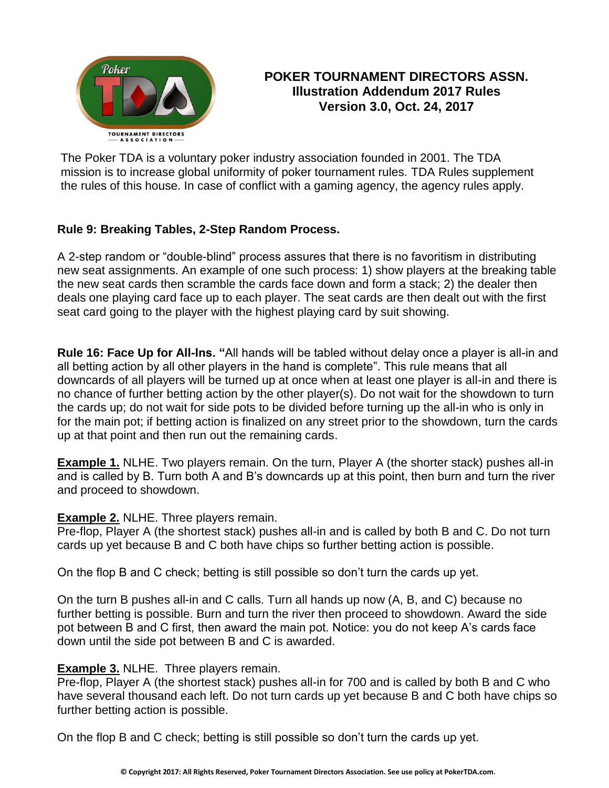

# **POKER TOURNAMENT DIRECTORS ASSN. Illustration Addendum 2017 Rules Version 3.0, Oct. 24, 2017**

The Poker TDA is a voluntary poker industry association founded in 2001. The TDA mission is to increase global uniformity of poker tournament rules. TDA Rules supplement the rules of this house. In case of conflict with a gaming agency, the agency rules apply.

# **Rule 9: Breaking Tables, 2-Step Random Process.**

A 2-step random or "double-blind" process assures that there is no favoritism in distributing new seat assignments. An example of one such process: 1) show players at the breaking table the new seat cards then scramble the cards face down and form a stack; 2) the dealer then deals one playing card face up to each player. The seat cards are then dealt out with the first seat card going to the player with the highest playing card by suit showing.

**Rule 16: Face Up for All-Ins. "**All hands will be tabled without delay once a player is all-in and all betting action by all other players in the hand is complete". This rule means that all downcards of all players will be turned up at once when at least one player is all-in and there is no chance of further betting action by the other player(s). Do not wait for the showdown to turn the cards up; do not wait for side pots to be divided before turning up the all-in who is only in for the main pot; if betting action is finalized on any street prior to the showdown, turn the cards up at that point and then run out the remaining cards.

**Example 1.** NLHE. Two players remain. On the turn, Player A (the shorter stack) pushes all-in and is called by B. Turn both A and B's downcards up at this point, then burn and turn the river and proceed to showdown.

# **Example 2.** NLHE. Three players remain.

Pre-flop, Player A (the shortest stack) pushes all-in and is called by both B and C. Do not turn cards up yet because B and C both have chips so further betting action is possible.

On the flop B and C check; betting is still possible so don't turn the cards up yet.

On the turn B pushes all-in and C calls. Turn all hands up now (A, B, and C) because no further betting is possible. Burn and turn the river then proceed to showdown. Award the side pot between B and C first, then award the main pot. Notice: you do not keep A's cards face down until the side pot between B and C is awarded.

# **Example 3.** NLHE. Three players remain.

Pre-flop, Player A (the shortest stack) pushes all-in for 700 and is called by both B and C who have several thousand each left. Do not turn cards up yet because B and C both have chips so further betting action is possible.

On the flop B and C check; betting is still possible so don't turn the cards up yet.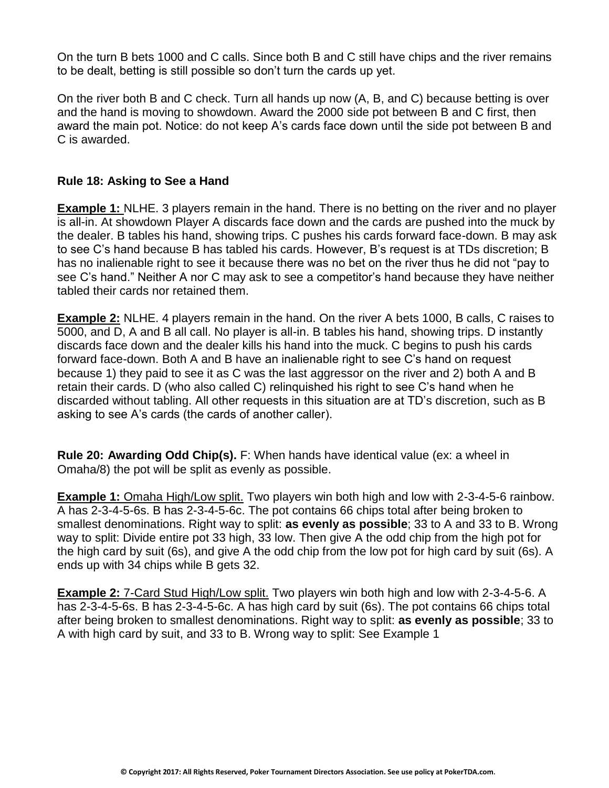On the turn B bets 1000 and C calls. Since both B and C still have chips and the river remains to be dealt, betting is still possible so don't turn the cards up yet.

On the river both B and C check. Turn all hands up now (A, B, and C) because betting is over and the hand is moving to showdown. Award the 2000 side pot between B and C first, then award the main pot. Notice: do not keep A's cards face down until the side pot between B and C is awarded.

# **Rule 18: Asking to See a Hand**

**Example 1:** NLHE. 3 players remain in the hand. There is no betting on the river and no player is all-in. At showdown Player A discards face down and the cards are pushed into the muck by the dealer. B tables his hand, showing trips. C pushes his cards forward face-down. B may ask to see C's hand because B has tabled his cards. However, B's request is at TDs discretion; B has no inalienable right to see it because there was no bet on the river thus he did not "pay to see C's hand." Neither A nor C may ask to see a competitor's hand because they have neither tabled their cards nor retained them.

**Example 2:** NLHE. 4 players remain in the hand. On the river A bets 1000, B calls, C raises to 5000, and D, A and B all call. No player is all-in. B tables his hand, showing trips. D instantly discards face down and the dealer kills his hand into the muck. C begins to push his cards forward face-down. Both A and B have an inalienable right to see C's hand on request because 1) they paid to see it as C was the last aggressor on the river and 2) both A and B retain their cards. D (who also called C) relinquished his right to see C's hand when he discarded without tabling. All other requests in this situation are at TD's discretion, such as B asking to see A's cards (the cards of another caller).

**Rule 20: Awarding Odd Chip(s).** F: When hands have identical value (ex: a wheel in Omaha/8) the pot will be split as evenly as possible.

**Example 1:** Omaha High/Low split. Two players win both high and low with 2-3-4-5-6 rainbow. A has 2-3-4-5-6s. B has 2-3-4-5-6c. The pot contains 66 chips total after being broken to smallest denominations. Right way to split: **as evenly as possible**; 33 to A and 33 to B. Wrong way to split: Divide entire pot 33 high, 33 low. Then give A the odd chip from the high pot for the high card by suit (6s), and give A the odd chip from the low pot for high card by suit (6s). A ends up with 34 chips while B gets 32.

**Example 2:** 7-Card Stud High/Low split. Two players win both high and low with 2-3-4-5-6. A has 2-3-4-5-6s. B has 2-3-4-5-6c. A has high card by suit (6s). The pot contains 66 chips total after being broken to smallest denominations. Right way to split: **as evenly as possible**; 33 to A with high card by suit, and 33 to B. Wrong way to split: See Example 1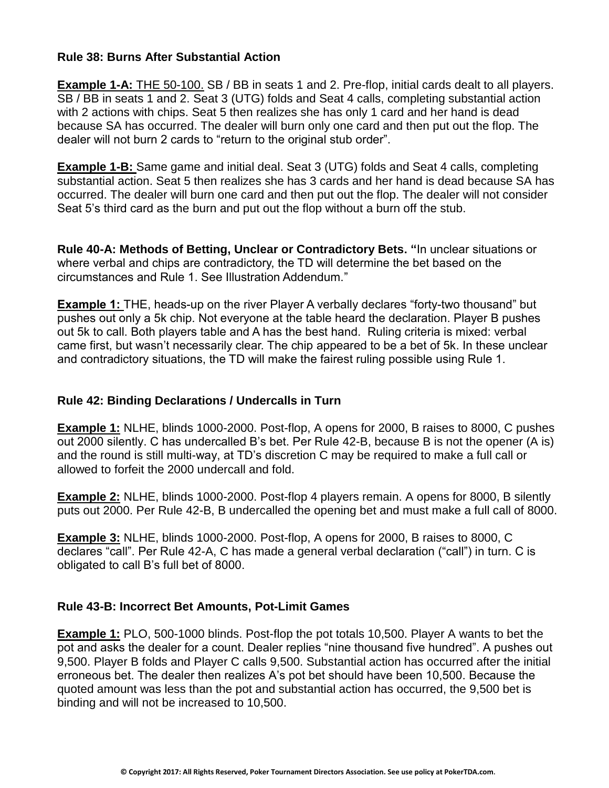## **Rule 38: Burns After Substantial Action**

**Example 1-A:** THE 50-100. SB / BB in seats 1 and 2. Pre-flop, initial cards dealt to all players. SB / BB in seats 1 and 2. Seat 3 (UTG) folds and Seat 4 calls, completing substantial action with 2 actions with chips. Seat 5 then realizes she has only 1 card and her hand is dead because SA has occurred. The dealer will burn only one card and then put out the flop. The dealer will not burn 2 cards to "return to the original stub order".

**Example 1-B:** Same game and initial deal. Seat 3 (UTG) folds and Seat 4 calls, completing substantial action. Seat 5 then realizes she has 3 cards and her hand is dead because SA has occurred. The dealer will burn one card and then put out the flop. The dealer will not consider Seat 5's third card as the burn and put out the flop without a burn off the stub.

**Rule 40-A: Methods of Betting, Unclear or Contradictory Bets. "**In unclear situations or where verbal and chips are contradictory, the TD will determine the bet based on the circumstances and Rule 1. See Illustration Addendum."

**Example 1:** THE, heads-up on the river Player A verbally declares "forty-two thousand" but pushes out only a 5k chip. Not everyone at the table heard the declaration. Player B pushes out 5k to call. Both players table and A has the best hand. Ruling criteria is mixed: verbal came first, but wasn't necessarily clear. The chip appeared to be a bet of 5k. In these unclear and contradictory situations, the TD will make the fairest ruling possible using Rule 1.

# **Rule 42: Binding Declarations / Undercalls in Turn**

**Example 1:** NLHE, blinds 1000-2000. Post-flop, A opens for 2000, B raises to 8000, C pushes out 2000 silently. C has undercalled B's bet. Per Rule 42-B, because B is not the opener (A is) and the round is still multi-way, at TD's discretion C may be required to make a full call or allowed to forfeit the 2000 undercall and fold.

**Example 2:** NLHE, blinds 1000-2000. Post-flop 4 players remain. A opens for 8000, B silently puts out 2000. Per Rule 42-B, B undercalled the opening bet and must make a full call of 8000.

**Example 3:** NLHE, blinds 1000-2000. Post-flop, A opens for 2000, B raises to 8000, C declares "call". Per Rule 42-A, C has made a general verbal declaration ("call") in turn. C is obligated to call B's full bet of 8000.

## **Rule 43-B: Incorrect Bet Amounts, Pot-Limit Games**

**Example 1:** PLO, 500-1000 blinds. Post-flop the pot totals 10,500. Player A wants to bet the pot and asks the dealer for a count. Dealer replies "nine thousand five hundred". A pushes out 9,500. Player B folds and Player C calls 9,500. Substantial action has occurred after the initial erroneous bet. The dealer then realizes A's pot bet should have been 10,500. Because the quoted amount was less than the pot and substantial action has occurred, the 9,500 bet is binding and will not be increased to 10,500.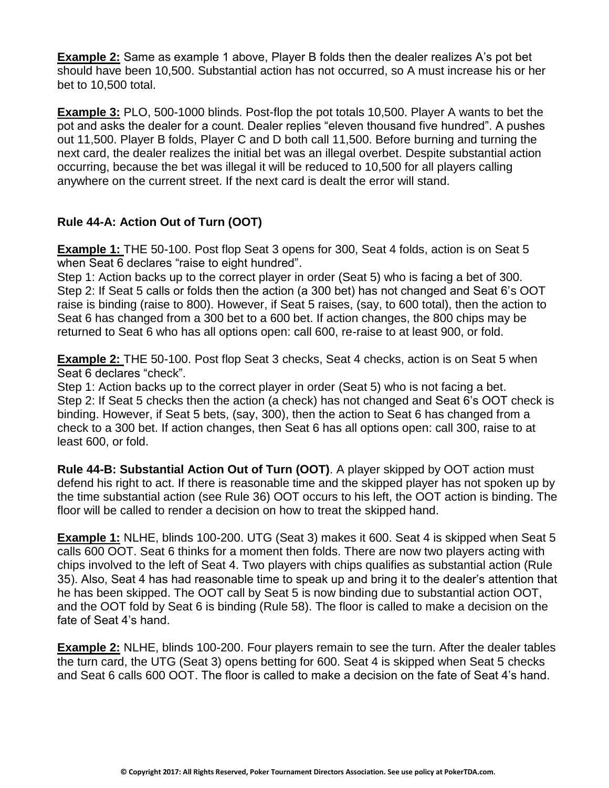**Example 2:** Same as example 1 above, Player B folds then the dealer realizes A's pot bet should have been 10,500. Substantial action has not occurred, so A must increase his or her bet to 10,500 total.

**Example 3:** PLO, 500-1000 blinds. Post-flop the pot totals 10,500. Player A wants to bet the pot and asks the dealer for a count. Dealer replies "eleven thousand five hundred". A pushes out 11,500. Player B folds, Player C and D both call 11,500. Before burning and turning the next card, the dealer realizes the initial bet was an illegal overbet. Despite substantial action occurring, because the bet was illegal it will be reduced to 10,500 for all players calling anywhere on the current street. If the next card is dealt the error will stand.

# **Rule 44-A: Action Out of Turn (OOT)**

**Example 1:** THE 50-100. Post flop Seat 3 opens for 300, Seat 4 folds, action is on Seat 5 when Seat 6 declares "raise to eight hundred".

Step 1: Action backs up to the correct player in order (Seat 5) who is facing a bet of 300. Step 2: If Seat 5 calls or folds then the action (a 300 bet) has not changed and Seat 6's OOT raise is binding (raise to 800). However, if Seat 5 raises, (say, to 600 total), then the action to Seat 6 has changed from a 300 bet to a 600 bet. If action changes, the 800 chips may be returned to Seat 6 who has all options open: call 600, re-raise to at least 900, or fold.

**Example 2:** THE 50-100. Post flop Seat 3 checks, Seat 4 checks, action is on Seat 5 when Seat 6 declares "check".

Step 1: Action backs up to the correct player in order (Seat 5) who is not facing a bet. Step 2: If Seat 5 checks then the action (a check) has not changed and Seat 6's OOT check is binding. However, if Seat 5 bets, (say, 300), then the action to Seat 6 has changed from a check to a 300 bet. If action changes, then Seat 6 has all options open: call 300, raise to at least 600, or fold.

**Rule 44-B: Substantial Action Out of Turn (OOT)**. A player skipped by OOT action must defend his right to act. If there is reasonable time and the skipped player has not spoken up by the time substantial action (see Rule 36) OOT occurs to his left, the OOT action is binding. The floor will be called to render a decision on how to treat the skipped hand.

**Example 1:** NLHE, blinds 100-200. UTG (Seat 3) makes it 600. Seat 4 is skipped when Seat 5 calls 600 OOT. Seat 6 thinks for a moment then folds. There are now two players acting with chips involved to the left of Seat 4. Two players with chips qualifies as substantial action (Rule 35). Also, Seat 4 has had reasonable time to speak up and bring it to the dealer's attention that he has been skipped. The OOT call by Seat 5 is now binding due to substantial action OOT, and the OOT fold by Seat 6 is binding (Rule 58). The floor is called to make a decision on the fate of Seat 4's hand.

**Example 2:** NLHE, blinds 100-200. Four players remain to see the turn. After the dealer tables the turn card, the UTG (Seat 3) opens betting for 600. Seat 4 is skipped when Seat 5 checks and Seat 6 calls 600 OOT. The floor is called to make a decision on the fate of Seat 4's hand.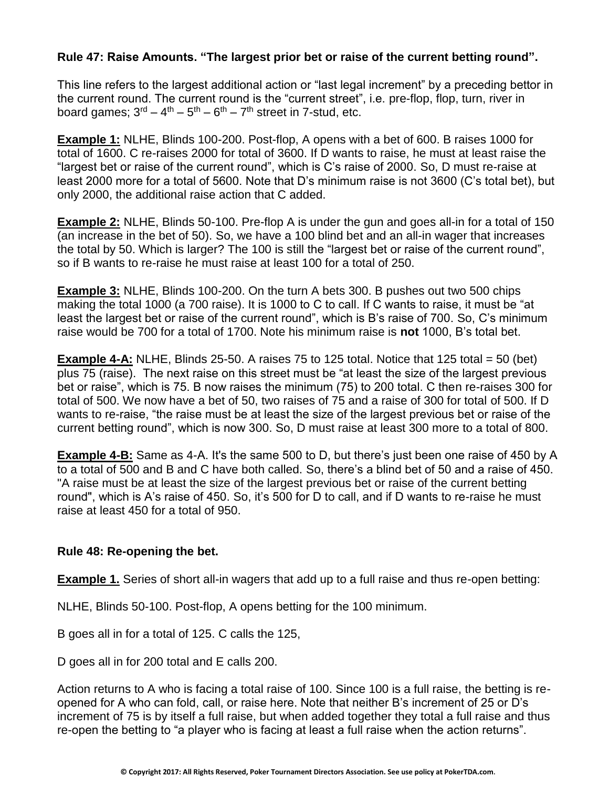# **Rule 47: Raise Amounts. "The largest prior bet or raise of the current betting round".**

This line refers to the largest additional action or "last legal increment" by a preceding bettor in the current round. The current round is the "current street", i.e. pre-flop, flop, turn, river in board games;  $3^{\text{rd}} - 4^{\text{th}} - 5^{\text{th}} - 6^{\text{th}} - 7^{\text{th}}$  street in 7-stud, etc.

**Example 1:** NLHE, Blinds 100-200. Post-flop, A opens with a bet of 600. B raises 1000 for total of 1600. C re-raises 2000 for total of 3600. If D wants to raise, he must at least raise the "largest bet or raise of the current round", which is C's raise of 2000. So, D must re-raise at least 2000 more for a total of 5600. Note that D's minimum raise is not 3600 (C's total bet), but only 2000, the additional raise action that C added.

**Example 2:** NLHE, Blinds 50-100. Pre-flop A is under the gun and goes all-in for a total of 150 (an increase in the bet of 50). So, we have a 100 blind bet and an all-in wager that increases the total by 50. Which is larger? The 100 is still the "largest bet or raise of the current round", so if B wants to re-raise he must raise at least 100 for a total of 250.

**Example 3:** NLHE, Blinds 100-200. On the turn A bets 300. B pushes out two 500 chips making the total 1000 (a 700 raise). It is 1000 to C to call. If C wants to raise, it must be "at least the largest bet or raise of the current round", which is B's raise of 700. So, C's minimum raise would be 700 for a total of 1700. Note his minimum raise is **not** 1000, B's total bet.

**Example 4-A:** NLHE, Blinds 25-50. A raises 75 to 125 total. Notice that 125 total = 50 (bet) plus 75 (raise). The next raise on this street must be "at least the size of the largest previous bet or raise", which is 75. B now raises the minimum (75) to 200 total. C then re-raises 300 for total of 500. We now have a bet of 50, two raises of 75 and a raise of 300 for total of 500. If D wants to re-raise, "the raise must be at least the size of the largest previous bet or raise of the current betting round", which is now 300. So, D must raise at least 300 more to a total of 800.

**Example 4-B:** Same as 4-A. It's the same 500 to D, but there's just been one raise of 450 by A to a total of 500 and B and C have both called. So, there's a blind bet of 50 and a raise of 450. "A raise must be at least the size of the largest previous bet or raise of the current betting round", which is A's raise of 450. So, it's 500 for D to call, and if D wants to re-raise he must raise at least 450 for a total of 950.

# **Rule 48: Re-opening the bet.**

**Example 1.** Series of short all-in wagers that add up to a full raise and thus re-open betting:

NLHE, Blinds 50-100. Post-flop, A opens betting for the 100 minimum.

B goes all in for a total of 125. C calls the 125,

D goes all in for 200 total and E calls 200.

Action returns to A who is facing a total raise of 100. Since 100 is a full raise, the betting is reopened for A who can fold, call, or raise here. Note that neither B's increment of 25 or D's increment of 75 is by itself a full raise, but when added together they total a full raise and thus re-open the betting to "a player who is facing at least a full raise when the action returns".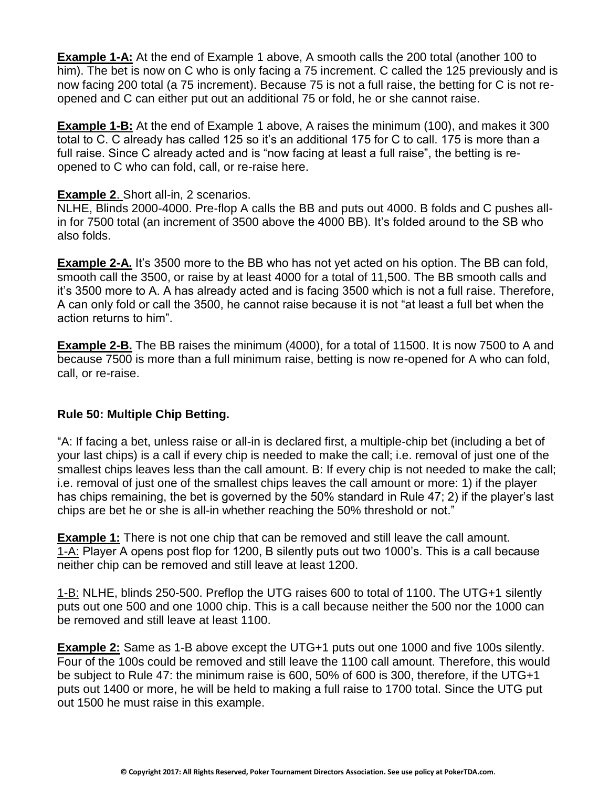**Example 1-A:** At the end of Example 1 above, A smooth calls the 200 total (another 100 to him). The bet is now on C who is only facing a 75 increment. C called the 125 previously and is now facing 200 total (a 75 increment). Because 75 is not a full raise, the betting for C is not reopened and C can either put out an additional 75 or fold, he or she cannot raise.

**Example 1-B:** At the end of Example 1 above, A raises the minimum (100), and makes it 300 total to C. C already has called 125 so it's an additional 175 for C to call. 175 is more than a full raise. Since C already acted and is "now facing at least a full raise", the betting is reopened to C who can fold, call, or re-raise here.

## **Example 2**. Short all-in, 2 scenarios.

NLHE, Blinds 2000-4000. Pre-flop A calls the BB and puts out 4000. B folds and C pushes allin for 7500 total (an increment of 3500 above the 4000 BB). It's folded around to the SB who also folds.

**Example 2-A.** It's 3500 more to the BB who has not yet acted on his option. The BB can fold, smooth call the 3500, or raise by at least 4000 for a total of 11,500. The BB smooth calls and it's 3500 more to A. A has already acted and is facing 3500 which is not a full raise. Therefore, A can only fold or call the 3500, he cannot raise because it is not "at least a full bet when the action returns to him".

**Example 2-B.** The BB raises the minimum (4000), for a total of 11500. It is now 7500 to A and because 7500 is more than a full minimum raise, betting is now re-opened for A who can fold, call, or re-raise.

# **Rule 50: Multiple Chip Betting.**

"A: If facing a bet, unless raise or all-in is declared first, a multiple-chip bet (including a bet of your last chips) is a call if every chip is needed to make the call; i.e. removal of just one of the smallest chips leaves less than the call amount. B: If every chip is not needed to make the call; i.e. removal of just one of the smallest chips leaves the call amount or more: 1) if the player has chips remaining, the bet is governed by the 50% standard in Rule 47; 2) if the player's last chips are bet he or she is all-in whether reaching the 50% threshold or not."

**Example 1:** There is not one chip that can be removed and still leave the call amount. 1-A: Player A opens post flop for 1200, B silently puts out two 1000's. This is a call because neither chip can be removed and still leave at least 1200.

1-B: NLHE, blinds 250-500. Preflop the UTG raises 600 to total of 1100. The UTG+1 silently puts out one 500 and one 1000 chip. This is a call because neither the 500 nor the 1000 can be removed and still leave at least 1100.

**Example 2:** Same as 1-B above except the UTG+1 puts out one 1000 and five 100s silently. Four of the 100s could be removed and still leave the 1100 call amount. Therefore, this would be subject to Rule 47: the minimum raise is 600, 50% of 600 is 300, therefore, if the UTG+1 puts out 1400 or more, he will be held to making a full raise to 1700 total. Since the UTG put out 1500 he must raise in this example.